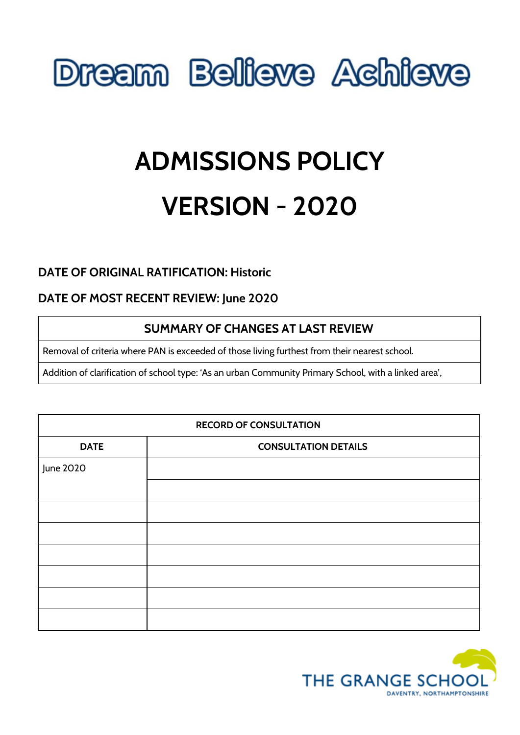

# **ADMISSIONS POLICY VERSION - 2020**

## **DATE OF ORIGINAL RATIFICATION: Historic**

## **DATE OF MOST RECENT REVIEW: June 2020**

### **SUMMARY OF CHANGES AT LAST REVIEW**

Removal of criteria where PAN is exceeded of those living furthest from their nearest school.

Addition of clarification of school type: 'As an urban Community Primary School, with a linked area',

| <b>RECORD OF CONSULTATION</b> |                             |
|-------------------------------|-----------------------------|
| <b>DATE</b>                   | <b>CONSULTATION DETAILS</b> |
| June 2020                     |                             |
|                               |                             |
|                               |                             |
|                               |                             |
|                               |                             |
|                               |                             |
|                               |                             |
|                               |                             |